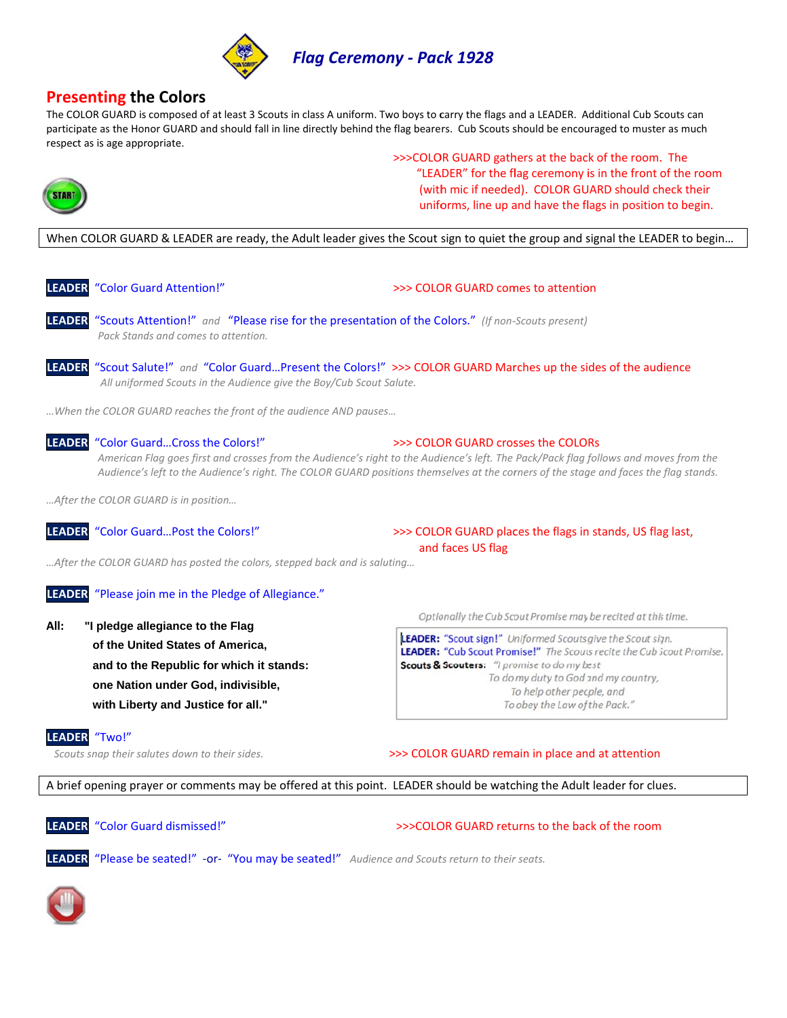

## **Presenting the Colors**

The COLOR GUARD is composed of at least 3 Scouts in class A uniform. Two boys to carry the flags and a LEADER. Additional Cub Scouts can participate as the Honor GUARD and should fall in line directly behind the flag bearers. Cub Scouts should be encouraged to muster as much respect as is age appropriate.



>>>COLOR GUARD gathers at the back of the room. The "LEADER" for the flag ceremony is in the front of the room (with mic if needed). COLOR GUARD should check their uniforms, line up and have the flags in position to begin.

When COLOR GUARD & LEADER are ready, the Adult leader gives the Scout sign to quiet the group and signal the LEADER to begin...

**LEADER** "Color Guard Attention!" >>> COLOR GUARD comes to attention

>>> COLOR GUARD crosses the COLORS

- "Scouts Attention!" and "Please rise for the presentation of the Colors." (If non-Scouts present) **LEADER** Pack Stands and comes to attention.
- **LEADER** "Scout Salute!" and "Color Guard...Present the Colors!" >>> COLOR GUARD Marches up the sides of the audience All uniformed Scouts in the Audience give the Boy/Cub Scout Salute.
- ...When the COLOR GUARD reaches the front of the audience AND pauses...

**LEADER** "Color Guard...Cross the Colors!"

> American Flag goes first and crosses from the Audience's right to the Audience's left. The Pack/Pack flag follows and moves from the Audience's left to the Audience's right. The COLOR GUARD positions themselves at the corners of the stage and faces the flag stands.

... After the COLOR GUARD is in position...

LEADER "Color Guard... Post the Colors!"

>>> COLOR GUARD places the flags in stands, US flag last, and faces US flag

...After the COLOR GUARD has posted the colors, stepped back and is saluting...

#### LEADER "Please join me in the Pledge of Allegiance."

All: "I pledge allegiance to the Flag of the United States of America, and to the Republic for which it stands: one Nation under God, indivisible, with Liberty and Justice for all."

Optionally the Cub Scout Promise may be recited at this time.

LEADER: "Scout sign!" Uniformed Scouts give the Scout sign. LEADER: "Cub Scout Promise!" The Scouts recite the Cub Scout Promise. Scouts & Scouters: "I promise to do my best To do my duty to God and my country, To help other people, and To obey the Law of the Pack."

#### LEADER "Two!"

Scouts snap their salutes down to their sides.

#### >>> COLOR GUARD remain in place and at attention

A brief opening prayer or comments may be offered at this point. LEADER should be watching the Adult leader for clues.



**LEADER** "Color Guard dismissed!"

#### >>>COLOR GUARD returns to the back of the room

LEADER "Please be seated!" -or- "You may be seated!" Audience and Scouts return to their seats.